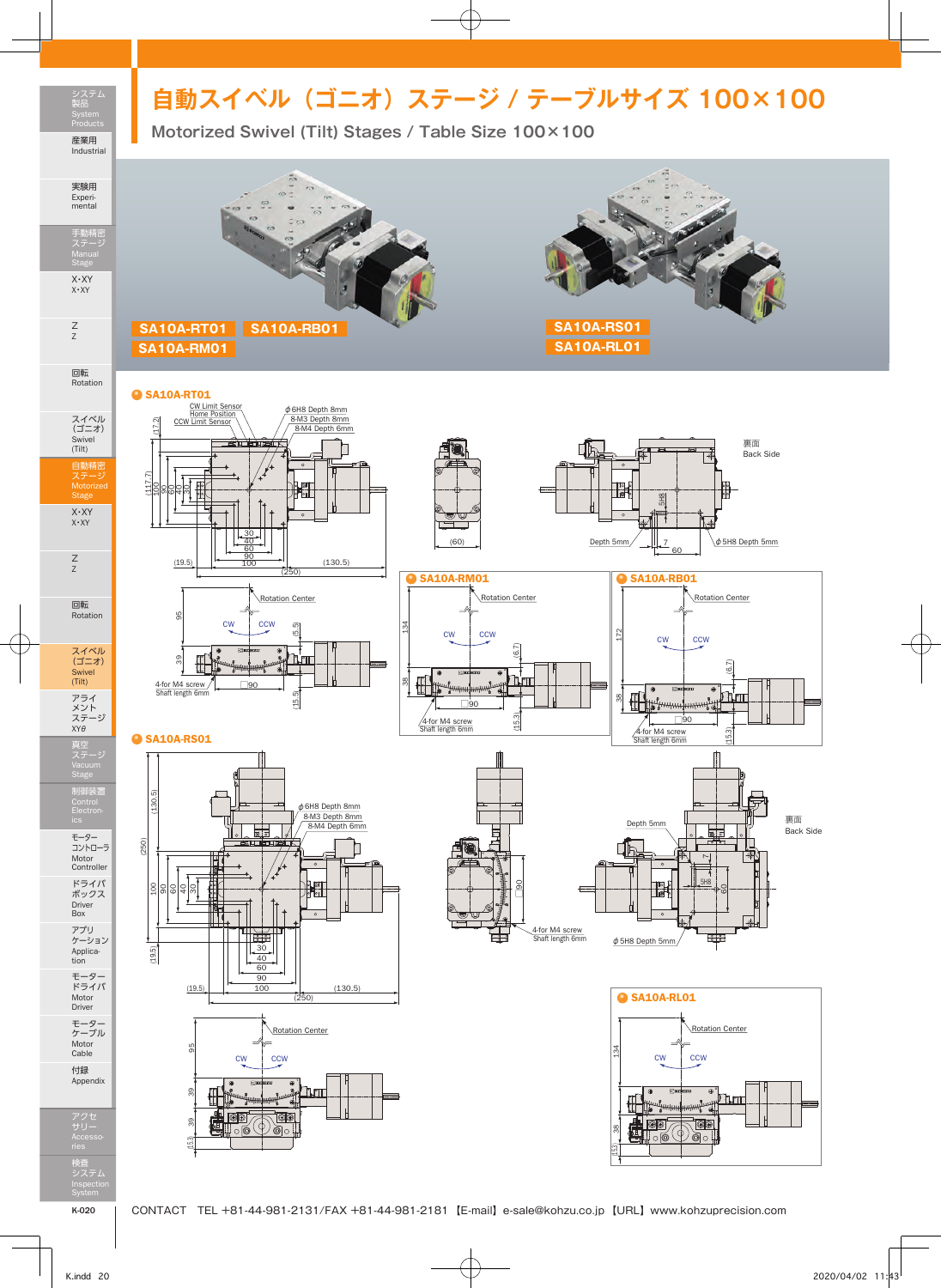## **自動スイベル (ゴニオ) ステージ / テーブルサイズ 100×100**

システム 製品 Products 産業用 Industrial

## 実験用

Experi-mental

手動精密 ステージ X・XY X・XY

Z Z

回転 Rotation

スイベル (ゴニオ)

Swivel (Tilt) 自動精密 ステージ Motorized Stage

X・XY X・XY

Z Z

回転 Rotation

スイベル (ゴニオ) Swivel (Tilt)

アライ メント ステージ XYθ 真空 ステージ

制御装置

モーター コントローラ Motor Controller ドライバ ボックス

Driver Box アプリ ケーション

Applica-tion モーター ドライバ

Motor Driver モーター ケーブル Motor Cable

付録 Appendix

アクセ サリー Accesso-検査 システム Inspection



φ6H8 Depth 8mm 8-M3 Depth 8mm  $8-M4$  Depth  $6$ 

(250)

(15.5)

(5.5)

Rotation Center

60 40 30

CW CCW

 $(130.5)$ 



 $\bigcirc$  SA10A-RM01 Rotation Center 38 134 **CCW** (15.3) (6.7) ृ <del>ti Y</del> ा □90  $(15.3)$ 4-for M4 screw Shaft length 6mm

Ę

T.

(60)

Rotation Center 60 Depth 5mm  $\left[\begin{array}{cc} ||&7&||\end{array}\right]$   $\phi$  5H8 Depth 5mm SA10A-RB01

5H8



裏面 Back Side



● SA10A-RL01 Rotation Center 134 cw ccw  $n_{\text{eff}}$ **OO** Toc 38 ‼ol@ (15.3)

## $\bullet$  SA10A-RS01

(117.7)

100 (17.2)

8 60 ବ 30

● SA10A-RT01

 $(19.5)$ 

39 95

 $4$ -for M4 screw  $\frac{1}{2}$   $\frac{1}{20}$ <br>Shaft length 6mm

CW Limit Sensor Home Position CCW Limit Sensor





System